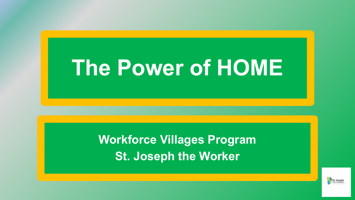## **The Power of HOME**

**Workforce Villages Program St. Joseph the Worker**

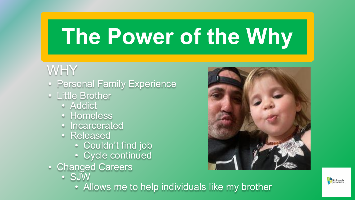## **The Power of the Why**

#### WHY

- Personal Family Experience
- Little Brother
	- Addict
	- Homeless
	- Incarcerated
	- Released
		- Couldn't find job
		- Cycle continued
- Changed Careers
	- SJW
		- Allows me to help individuals like my brother



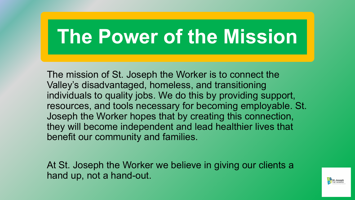### **The Power of the Mission**

The mission of St. Joseph the Worker is to connect the Valley's disadvantaged, homeless, and transitioning individuals to quality jobs. We do this by providing support, resources, and tools necessary for becoming employable. St. Joseph the Worker hopes that by creating this connection, they will become independent and lead healthier lives that benefit our community and families.

At St. Joseph the Worker we believe in giving our clients a hand up, not a hand-out.

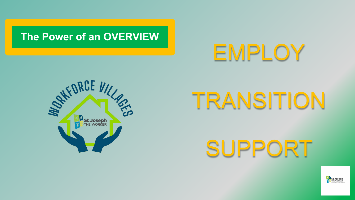#### **The Power of an OVERVIEW**

## EMPLOY



# TRANSITION

SUPPORT

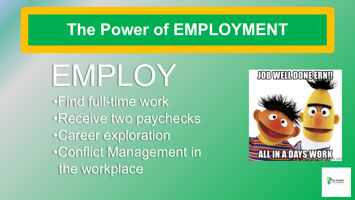#### **The Power of EMPLOYMENT**

EMPLOY •Find full-time work •Receive two paychecks •Career exploration •Conflict Management in the workplace



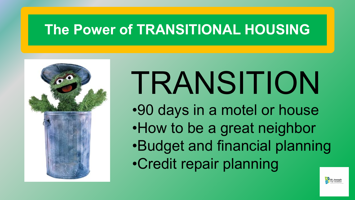#### **The Power of TRANSITIONAL HOUSING**



## TRANSITION

- •90 days in a motel or house
- •How to be a great neighbor
- •Budget and financial planning
- •Credit repair planning

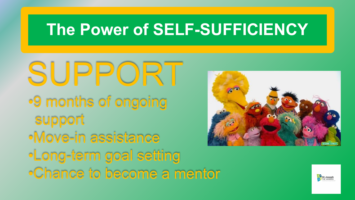#### **The Power of SELF-SUFFICIENCY**

SUPPORT •9 months of ongoing support •Move-in assistance •Long-term goal setting •Chance to become a mentor



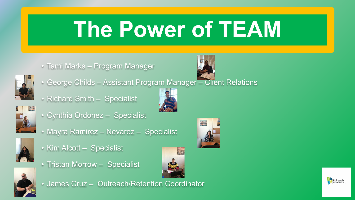## **The Power of TEAM**

• Tami Marks – Program Manager



- George Childs Assistant Program Manager Client Relations
- Richard Smith Specialist



• Cynthia Ordonez – Specialist



• Mayra Ramirez – Nevarez – Specialist



- Kim Alcott Specialist
- Tristan Morrow Specialist





• James Cruz – Outreach/Retention Coordinator